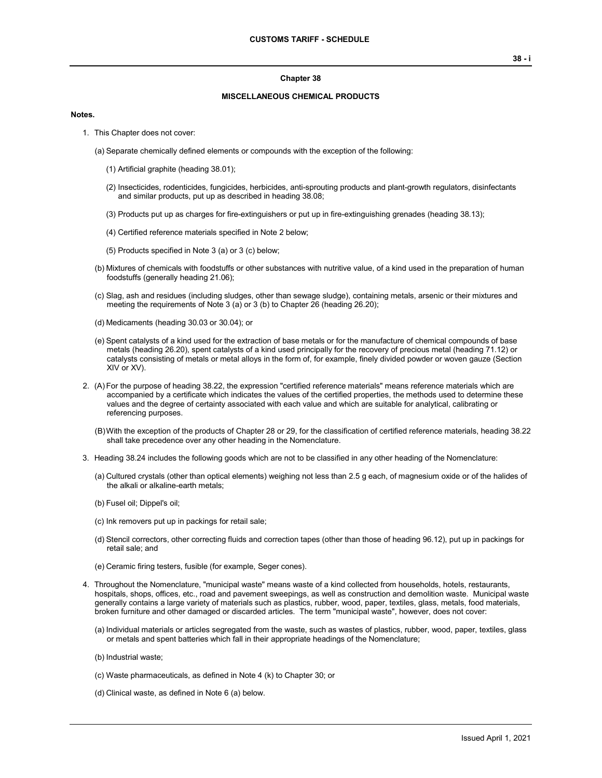### **Chapter 38**

### **MISCELLANEOUS CHEMICAL PRODUCTS**

### **Notes.**

- 1. This Chapter does not cover:
	- (a) Separate chemically defined elements or compounds with the exception of the following:
		- (1) Artificial graphite (heading 38.01);
		- (2) Insecticides, rodenticides, fungicides, herbicides, anti-sprouting products and plant-growth regulators, disinfectants and similar products, put up as described in heading 38.08;
		- (3) Products put up as charges for fire-extinguishers or put up in fire-extinguishing grenades (heading 38.13);
		- (4) Certified reference materials specified in Note 2 below;
		- (5) Products specified in Note 3 (a) or 3 (c) below;
	- (b) Mixtures of chemicals with foodstuffs or other substances with nutritive value, of a kind used in the preparation of human foodstuffs (generally heading 21.06);
	- (c) Slag, ash and residues (including sludges, other than sewage sludge), containing metals, arsenic or their mixtures and meeting the requirements of Note 3 (a) or 3 (b) to Chapter 26 (heading 26.20);
	- (d) Medicaments (heading 30.03 or 30.04); or
	- (e) Spent catalysts of a kind used for the extraction of base metals or for the manufacture of chemical compounds of base metals (heading 26.20), spent catalysts of a kind used principally for the recovery of precious metal (heading 71.12) or catalysts consisting of metals or metal alloys in the form of, for example, finely divided powder or woven gauze (Section XIV or XV).
- 2. (A) For the purpose of heading 38.22, the expression "certified reference materials" means reference materials which are accompanied by a certificate which indicates the values of the certified properties, the methods used to determine these values and the degree of certainty associated with each value and which are suitable for analytical, calibrating or referencing purposes.
	- (B)With the exception of the products of Chapter 28 or 29, for the classification of certified reference materials, heading 38.22 shall take precedence over any other heading in the Nomenclature.
- 3. Heading 38.24 includes the following goods which are not to be classified in any other heading of the Nomenclature:
	- (a) Cultured crystals (other than optical elements) weighing not less than 2.5 g each, of magnesium oxide or of the halides of the alkali or alkaline-earth metals;
	- (b) Fusel oil; Dippel's oil;
	- (c) Ink removers put up in packings for retail sale;
	- (d) Stencil correctors, other correcting fluids and correction tapes (other than those of heading 96.12), put up in packings for retail sale; and
	- (e) Ceramic firing testers, fusible (for example, Seger cones).
- 4. Throughout the Nomenclature, "municipal waste" means waste of a kind collected from households, hotels, restaurants, hospitals, shops, offices, etc., road and pavement sweepings, as well as construction and demolition waste. Municipal waste generally contains a large variety of materials such as plastics, rubber, wood, paper, textiles, glass, metals, food materials, broken furniture and other damaged or discarded articles. The term "municipal waste", however, does not cover:
	- (a) Individual materials or articles segregated from the waste, such as wastes of plastics, rubber, wood, paper, textiles, glass or metals and spent batteries which fall in their appropriate headings of the Nomenclature;
	- (b) Industrial waste;
	- (c) Waste pharmaceuticals, as defined in Note 4 (k) to Chapter 30; or
	- (d) Clinical waste, as defined in Note 6 (a) below.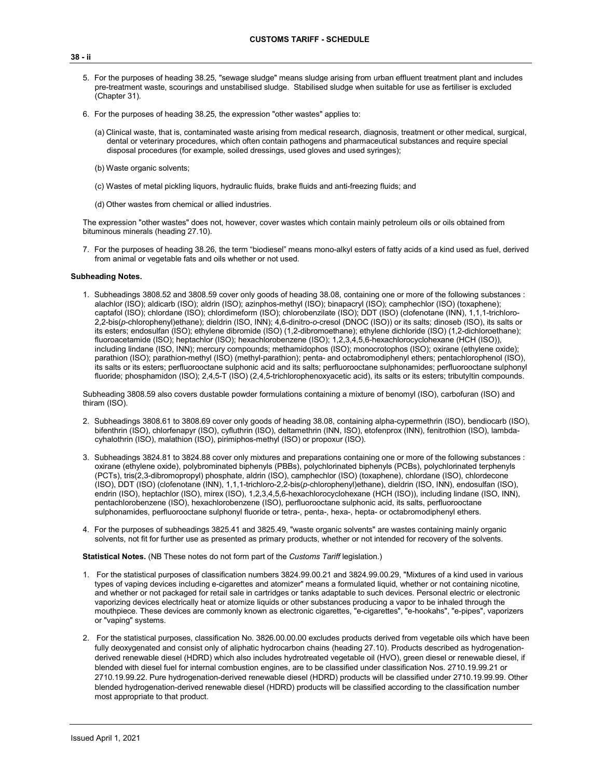- 5. For the purposes of heading 38.25, "sewage sludge" means sludge arising from urban effluent treatment plant and includes pre-treatment waste, scourings and unstabilised sludge. Stabilised sludge when suitable for use as fertiliser is excluded (Chapter 31).
- 6. For the purposes of heading 38.25, the expression "other wastes" applies to:
	- (a) Clinical waste, that is, contaminated waste arising from medical research, diagnosis, treatment or other medical, surgical, dental or veterinary procedures, which often contain pathogens and pharmaceutical substances and require special disposal procedures (for example, soiled dressings, used gloves and used syringes);
	- (b) Waste organic solvents;
	- (c) Wastes of metal pickling liquors, hydraulic fluids, brake fluids and anti-freezing fluids; and
	- (d) Other wastes from chemical or allied industries.

The expression "other wastes" does not, however, cover wastes which contain mainly petroleum oils or oils obtained from bituminous minerals (heading 27.10).

7. For the purposes of heading 38.26, the term "biodiesel" means mono-alkyl esters of fatty acids of a kind used as fuel, derived from animal or vegetable fats and oils whether or not used.

### **Subheading Notes.**

1. Subheadings 3808.52 and 3808.59 cover only goods of heading 38.08, containing one or more of the following substances : alachlor (ISO); aldicarb (ISO); aldrin (ISO); azinphos-methyl (ISO); binapacryl (ISO); camphechlor (ISO) (toxaphene); captafol (ISO); chlordane (ISO); chlordimeform (ISO); chlorobenzilate (ISO); DDT (ISO) (clofenotane (INN), 1,1,1-trichloro-2,2-bis(*p*-chlorophenyl)ethane); dieldrin (ISO, INN); 4,6-dinitro-*o*-cresol (DNOC (ISO)) or its salts; dinoseb (ISO), its salts or its esters; endosulfan (ISO); ethylene dibromide (ISO) (1,2-dibromoethane); ethylene dichloride (ISO) (1,2-dichloroethane); fluoroacetamide (ISO); heptachlor (ISO); hexachlorobenzene (ISO); 1,2,3,4,5,6-hexachlorocyclohexane (HCH (ISO)), including lindane (ISO, INN); mercury compounds; methamidophos (ISO); monocrotophos (ISO); oxirane (ethylene oxide); parathion (ISO); parathion-methyl (ISO) (methyl-parathion); penta- and octabromodiphenyl ethers; pentachlorophenol (ISO), its salts or its esters; perfluorooctane sulphonic acid and its salts; perfluorooctane sulphonamides; perfluorooctane sulphonyl fluoride; phosphamidon (ISO); 2,4,5-T (ISO) (2,4,5-trichlorophenoxyacetic acid), its salts or its esters; tributyltin compounds.

Subheading 3808.59 also covers dustable powder formulations containing a mixture of benomyl (ISO), carbofuran (ISO) and thiram (ISO).

- 2. Subheadings 3808.61 to 3808.69 cover only goods of heading 38.08, containing alpha-cypermethrin (ISO), bendiocarb (ISO), bifenthrin (ISO), chlorfenapyr (ISO), cyfluthrin (ISO), deltamethrin (INN, ISO), etofenprox (INN), fenitrothion (ISO), lambdacyhalothrin (ISO), malathion (ISO), pirimiphos-methyl (ISO) or propoxur (ISO).
- 3. Subheadings 3824.81 to 3824.88 cover only mixtures and preparations containing one or more of the following substances : oxirane (ethylene oxide), polybrominated biphenyls (PBBs), polychlorinated biphenyls (PCBs), polychlorinated terphenyls (PCTs), tris(2,3-dibromopropyl) phosphate, aldrin (ISO), camphechlor (ISO) (toxaphene), chlordane (ISO), chlordecone (ISO), DDT (ISO) (clofenotane (INN), 1,1,1-trichloro-2,2-bis(*p*-chlorophenyl)ethane), dieldrin (ISO, INN), endosulfan (ISO), endrin (ISO), heptachlor (ISO), mirex (ISO), 1,2,3,4,5,6-hexachlorocyclohexane (HCH (ISO)), including lindane (ISO, INN), pentachlorobenzene (ISO), hexachlorobenzene (ISO), perfluorooctane sulphonic acid, its salts, perfluorooctane sulphonamides, perfluorooctane sulphonyl fluoride or tetra-, penta-, hexa-, hepta- or octabromodiphenyl ethers.
- 4. For the purposes of subheadings 3825.41 and 3825.49, "waste organic solvents" are wastes containing mainly organic solvents, not fit for further use as presented as primary products, whether or not intended for recovery of the solvents.

**Statistical Notes.** (NB These notes do not form part of the *Customs Tariff* legislation.)

- 1. For the statistical purposes of classification numbers 3824.99.00.21 and 3824.99.00.29, "Mixtures of a kind used in various types of vaping devices including e-cigarettes and atomizer" means a formulated liquid, whether or not containing nicotine, and whether or not packaged for retail sale in cartridges or tanks adaptable to such devices. Personal electric or electronic vaporizing devices electrically heat or atomize liquids or other substances producing a vapor to be inhaled through the mouthpiece. These devices are commonly known as electronic cigarettes, "e-cigarettes", "e-hookahs", "e-pipes", vaporizers or "vaping" systems.
- 2. For the statistical purposes, classification No. 3826.00.00.00 excludes products derived from vegetable oils which have been fully deoxygenated and consist only of aliphatic hydrocarbon chains (heading 27.10). Products described as hydrogenationderived renewable diesel (HDRD) which also includes hydrotreated vegetable oil (HVO), green diesel or renewable diesel, if blended with diesel fuel for internal combustion engines, are to be classified under classification Nos. 2710.19.99.21 or 2710.19.99.22. Pure hydrogenation-derived renewable diesel (HDRD) products will be classified under 2710.19.99.99. Other blended hydrogenation-derived renewable diesel (HDRD) products will be classified according to the classification number most appropriate to that product.

#### **38 - ii**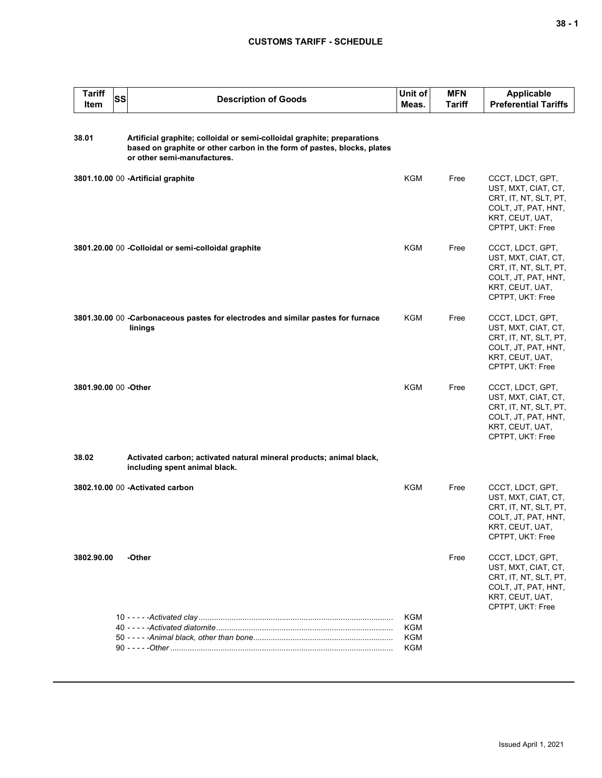| <b>Tariff</b><br>Item | <b>SS</b> | <b>Description of Goods</b>                                                                                                                                                       | Unit of<br>Meas.                              | <b>MFN</b><br>Tariff | <b>Applicable</b><br><b>Preferential Tariffs</b>                                                                               |
|-----------------------|-----------|-----------------------------------------------------------------------------------------------------------------------------------------------------------------------------------|-----------------------------------------------|----------------------|--------------------------------------------------------------------------------------------------------------------------------|
| 38.01                 |           | Artificial graphite; colloidal or semi-colloidal graphite; preparations<br>based on graphite or other carbon in the form of pastes, blocks, plates<br>or other semi-manufactures. |                                               |                      |                                                                                                                                |
|                       |           | 3801.10.00 00 -Artificial graphite                                                                                                                                                | KGM                                           | Free                 | CCCT, LDCT, GPT,<br>UST, MXT, CIAT, CT,<br>CRT, IT, NT, SLT, PT,<br>COLT, JT, PAT, HNT,<br>KRT, CEUT, UAT,<br>CPTPT, UKT: Free |
|                       |           | 3801.20.00 00 - Colloidal or semi-colloidal graphite                                                                                                                              | <b>KGM</b>                                    | Free                 | CCCT, LDCT, GPT,<br>UST, MXT, CIAT, CT,<br>CRT, IT, NT, SLT, PT,<br>COLT, JT, PAT, HNT,<br>KRT, CEUT, UAT,<br>CPTPT, UKT: Free |
|                       |           | 3801.30.00 00 - Carbonaceous pastes for electrodes and similar pastes for furnace<br>linings                                                                                      | KGM                                           | Free                 | CCCT, LDCT, GPT,<br>UST, MXT, CIAT, CT,<br>CRT, IT, NT, SLT, PT,<br>COLT, JT, PAT, HNT,<br>KRT, CEUT, UAT,<br>CPTPT, UKT: Free |
| 3801.90.00 00 - Other |           |                                                                                                                                                                                   | <b>KGM</b>                                    | Free                 | CCCT, LDCT, GPT,<br>UST, MXT, CIAT, CT,<br>CRT, IT, NT, SLT, PT,<br>COLT, JT, PAT, HNT,<br>KRT, CEUT, UAT,<br>CPTPT, UKT: Free |
| 38.02                 |           | Activated carbon; activated natural mineral products; animal black,<br>including spent animal black.                                                                              |                                               |                      |                                                                                                                                |
|                       |           | 3802.10.00 00 - Activated carbon                                                                                                                                                  | <b>KGM</b>                                    | Free                 | CCCT, LDCT, GPT,<br>UST, MXT, CIAT, CT,<br>CRT, IT, NT, SLT, PT,<br>COLT, JT, PAT, HNT,<br>KRT, CEUT, UAT,<br>CPTPT, UKT: Free |
| 3802.90.00            |           | -Other                                                                                                                                                                            |                                               | Free                 | CCCT, LDCT, GPT,<br>UST, MXT, CIAT, CT,<br>CRT, IT, NT, SLT, PT,<br>COLT, JT, PAT, HNT,<br>KRT, CEUT, UAT,<br>CPTPT, UKT: Free |
|                       |           |                                                                                                                                                                                   | <b>KGM</b><br><b>KGM</b><br>KGM<br><b>KGM</b> |                      |                                                                                                                                |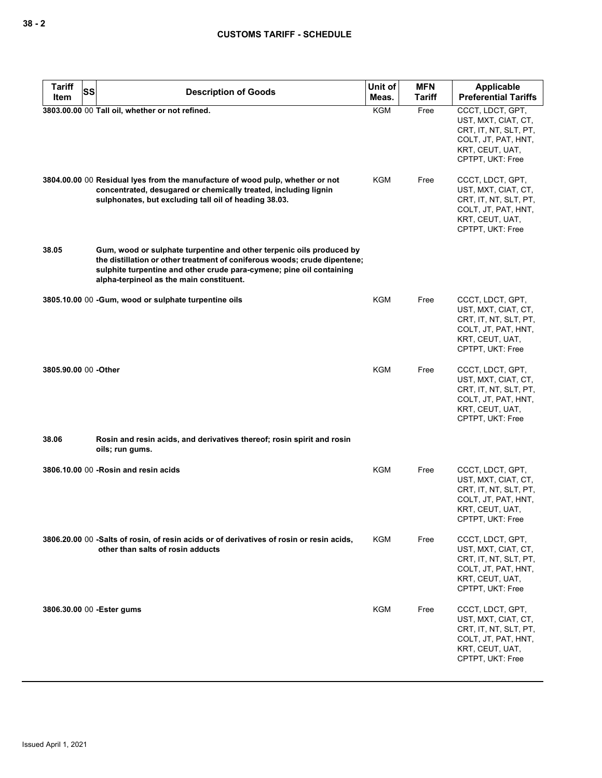| <b>Tariff</b><br>SS<br>Item | <b>Description of Goods</b>                                                                                                                                                                                                                                           | Unit of<br>Meas. | <b>MFN</b><br>Tariff | Applicable<br><b>Preferential Tariffs</b>                                                                                      |
|-----------------------------|-----------------------------------------------------------------------------------------------------------------------------------------------------------------------------------------------------------------------------------------------------------------------|------------------|----------------------|--------------------------------------------------------------------------------------------------------------------------------|
|                             | 3803.00.00 00 Tall oil, whether or not refined.                                                                                                                                                                                                                       | <b>KGM</b>       | Free                 | CCCT, LDCT, GPT,<br>UST, MXT, CIAT, CT,<br>CRT, IT, NT, SLT, PT,<br>COLT, JT, PAT, HNT,<br>KRT, CEUT, UAT,<br>CPTPT, UKT: Free |
|                             | 3804.00.00 00 Residual lyes from the manufacture of wood pulp, whether or not<br>concentrated, desugared or chemically treated, including lignin<br>sulphonates, but excluding tall oil of heading 38.03.                                                             | <b>KGM</b>       | Free                 | CCCT, LDCT, GPT,<br>UST, MXT, CIAT, CT,<br>CRT, IT, NT, SLT, PT,<br>COLT, JT, PAT, HNT,<br>KRT, CEUT, UAT,<br>CPTPT, UKT: Free |
| 38.05                       | Gum, wood or sulphate turpentine and other terpenic oils produced by<br>the distillation or other treatment of coniferous woods; crude dipentene;<br>sulphite turpentine and other crude para-cymene; pine oil containing<br>alpha-terpineol as the main constituent. |                  |                      |                                                                                                                                |
|                             | 3805.10.00 00 -Gum, wood or sulphate turpentine oils                                                                                                                                                                                                                  | KGM              | Free                 | CCCT, LDCT, GPT,<br>UST, MXT, CIAT, CT,<br>CRT, IT, NT, SLT, PT,<br>COLT, JT, PAT, HNT,<br>KRT, CEUT, UAT,<br>CPTPT, UKT: Free |
| 3805.90.00 00 -Other        |                                                                                                                                                                                                                                                                       | <b>KGM</b>       | Free                 | CCCT, LDCT, GPT,<br>UST, MXT, CIAT, CT,<br>CRT, IT, NT, SLT, PT,<br>COLT, JT, PAT, HNT,<br>KRT, CEUT, UAT,<br>CPTPT, UKT: Free |
| 38.06                       | Rosin and resin acids, and derivatives thereof; rosin spirit and rosin<br>oils; run gums.                                                                                                                                                                             |                  |                      |                                                                                                                                |
|                             | 3806.10.00 00 - Rosin and resin acids                                                                                                                                                                                                                                 | <b>KGM</b>       | Free                 | CCCT, LDCT, GPT,<br>UST, MXT, CIAT, CT,<br>CRT. IT. NT. SLT. PT.<br>COLT, JT, PAT, HNT,<br>KRT, CEUT, UAT,<br>CPTPT, UKT: Free |
|                             | 3806.20.00 00 -Salts of rosin, of resin acids or of derivatives of rosin or resin acids,<br>other than salts of rosin adducts                                                                                                                                         | KGM              | Free                 | CCCT, LDCT, GPT,<br>UST, MXT, CIAT, CT,<br>CRT, IT, NT, SLT, PT,<br>COLT, JT, PAT, HNT,<br>KRT, CEUT, UAT,<br>CPTPT, UKT: Free |
|                             | 3806.30.00 00 - Ester gums                                                                                                                                                                                                                                            | KGM              | Free                 | CCCT, LDCT, GPT,<br>UST, MXT, CIAT, CT,<br>CRT, IT, NT, SLT, PT,<br>COLT, JT, PAT, HNT,<br>KRT, CEUT, UAT,<br>CPTPT, UKT: Free |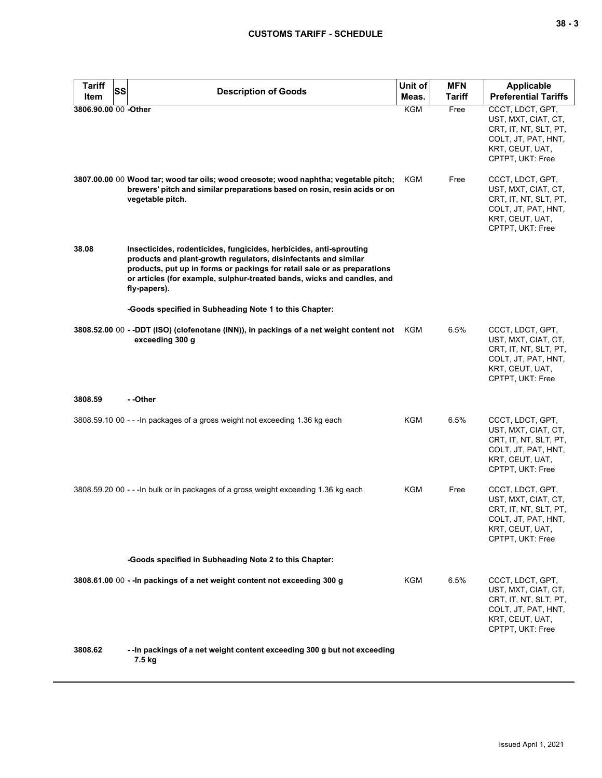| <b>Tariff</b>        | SS                                                                                                                                                                                                                                                                                                           | Unit of    | <b>MFN</b>    | Applicable                                                                                                                     |
|----------------------|--------------------------------------------------------------------------------------------------------------------------------------------------------------------------------------------------------------------------------------------------------------------------------------------------------------|------------|---------------|--------------------------------------------------------------------------------------------------------------------------------|
| Item                 | <b>Description of Goods</b>                                                                                                                                                                                                                                                                                  | Meas.      | <b>Tariff</b> | <b>Preferential Tariffs</b>                                                                                                    |
| 3806.90.00 00 -Other |                                                                                                                                                                                                                                                                                                              | <b>KGM</b> | Free          | CCCT, LDCT, GPT,<br>UST, MXT, CIAT, CT,<br>CRT, IT, NT, SLT, PT,<br>COLT, JT, PAT, HNT,<br>KRT, CEUT, UAT,<br>CPTPT, UKT: Free |
|                      | 3807.00.00 00 Wood tar; wood tar oils; wood creosote; wood naphtha; vegetable pitch;<br>brewers' pitch and similar preparations based on rosin, resin acids or on<br>vegetable pitch.                                                                                                                        | KGM        | Free          | CCCT, LDCT, GPT,<br>UST, MXT, CIAT, CT,<br>CRT, IT, NT, SLT, PT,<br>COLT, JT, PAT, HNT,<br>KRT, CEUT, UAT,<br>CPTPT, UKT: Free |
| 38.08                | Insecticides, rodenticides, fungicides, herbicides, anti-sprouting<br>products and plant-growth regulators, disinfectants and similar<br>products, put up in forms or packings for retail sale or as preparations<br>or articles (for example, sulphur-treated bands, wicks and candles, and<br>fly-papers). |            |               |                                                                                                                                |
|                      | -Goods specified in Subheading Note 1 to this Chapter:                                                                                                                                                                                                                                                       |            |               |                                                                                                                                |
|                      | 3808.52.00 00 - -DDT (ISO) (clofenotane (INN)), in packings of a net weight content not KGM<br>exceeding 300 g                                                                                                                                                                                               |            | 6.5%          | CCCT, LDCT, GPT,<br>UST, MXT, CIAT, CT,<br>CRT, IT, NT, SLT, PT,<br>COLT, JT, PAT, HNT,<br>KRT, CEUT, UAT,<br>CPTPT, UKT: Free |
| 3808.59              | - -Other                                                                                                                                                                                                                                                                                                     |            |               |                                                                                                                                |
|                      | 3808.59.10 00 - - - In packages of a gross weight not exceeding 1.36 kg each                                                                                                                                                                                                                                 | KGM        | 6.5%          | CCCT, LDCT, GPT,<br>UST, MXT, CIAT, CT,<br>CRT, IT, NT, SLT, PT,<br>COLT, JT, PAT, HNT,<br>KRT, CEUT, UAT,<br>CPTPT, UKT: Free |
|                      | 3808.59.20 00 - - - In bulk or in packages of a gross weight exceeding 1.36 kg each                                                                                                                                                                                                                          | KGM        | Free          | CCCT, LDCT, GPT,<br>UST, MXT, CIAT, CT,<br>CRT, IT, NT, SLT, PT,<br>COLT, JT, PAT, HNT,<br>KRT, CEUT, UAT,<br>CPTPT, UKT: Free |
|                      | -Goods specified in Subheading Note 2 to this Chapter:                                                                                                                                                                                                                                                       |            |               |                                                                                                                                |
|                      | 3808.61.00 00 - - In packings of a net weight content not exceeding 300 g                                                                                                                                                                                                                                    | KGM        | 6.5%          | CCCT, LDCT, GPT,<br>UST, MXT, CIAT, CT,<br>CRT, IT, NT, SLT, PT,<br>COLT, JT, PAT, HNT,<br>KRT, CEUT, UAT,<br>CPTPT, UKT: Free |
| 3808.62              | -- In packings of a net weight content exceeding 300 g but not exceeding<br>7.5 kg                                                                                                                                                                                                                           |            |               |                                                                                                                                |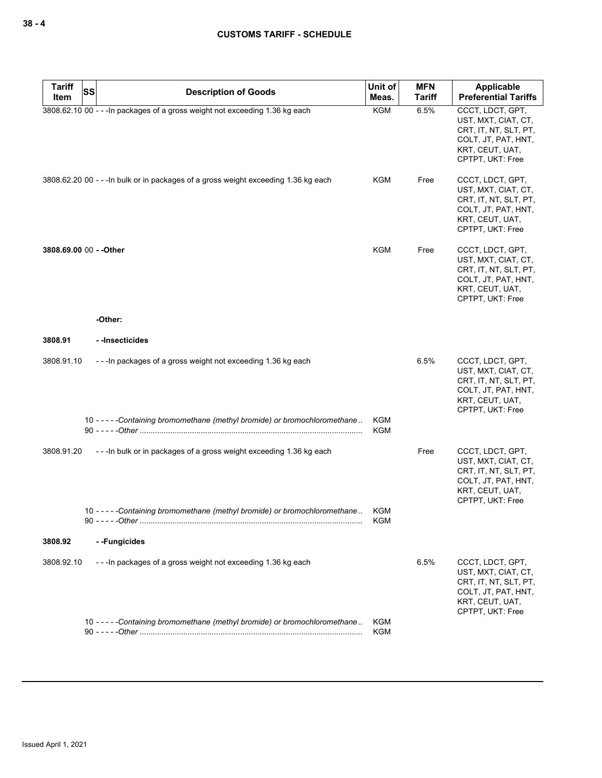| <b>Tariff</b>           | <b>SS</b> | <b>Description of Goods</b>                                                                         | Unit of           | <b>MFN</b>    | <b>Applicable</b>                                                                                                              |
|-------------------------|-----------|-----------------------------------------------------------------------------------------------------|-------------------|---------------|--------------------------------------------------------------------------------------------------------------------------------|
| Item                    |           |                                                                                                     | Meas.             | <b>Tariff</b> | <b>Preferential Tariffs</b>                                                                                                    |
|                         |           | 3808.62.10 00 - - - In packages of a gross weight not exceeding 1.36 kg each                        | <b>KGM</b>        | 6.5%          | CCCT, LDCT, GPT,<br>UST, MXT, CIAT, CT,<br>CRT, IT, NT, SLT, PT,<br>COLT, JT, PAT, HNT,<br>KRT, CEUT, UAT,<br>CPTPT, UKT: Free |
|                         |           | 3808.62.20 00 - - - In bulk or in packages of a gross weight exceeding 1.36 kg each                 | KGM               | Free          | CCCT, LDCT, GPT,<br>UST, MXT, CIAT, CT,<br>CRT, IT, NT, SLT, PT,<br>COLT, JT, PAT, HNT,<br>KRT, CEUT, UAT,<br>CPTPT, UKT: Free |
| 3808.69.00 00 - - Other |           |                                                                                                     | <b>KGM</b>        | Free          | CCCT, LDCT, GPT,<br>UST, MXT, CIAT, CT,<br>CRT, IT, NT, SLT, PT,<br>COLT, JT, PAT, HNT,<br>KRT, CEUT, UAT,<br>CPTPT, UKT: Free |
|                         |           | -Other:                                                                                             |                   |               |                                                                                                                                |
| 3808.91                 |           | - -Insecticides                                                                                     |                   |               |                                                                                                                                |
| 3808.91.10              |           | --- In packages of a gross weight not exceeding 1.36 kg each                                        |                   | 6.5%          | CCCT, LDCT, GPT,<br>UST, MXT, CIAT, CT,<br>CRT, IT, NT, SLT, PT,<br>COLT, JT, PAT, HNT,<br>KRT, CEUT, UAT,<br>CPTPT, UKT: Free |
|                         |           | 10 - - - - - Containing bromomethane (methyl bromide) or bromochloromethane                         | KGM<br><b>KGM</b> |               |                                                                                                                                |
| 3808.91.20              |           | --- In bulk or in packages of a gross weight exceeding 1.36 kg each                                 |                   | Free          | CCCT, LDCT, GPT,<br>UST, MXT, CIAT, CT,<br>CRT, IT, NT, SLT, PT,<br>COLT, JT, PAT, HNT,<br>KRT, CEUT, UAT,<br>CPTPT, UKT: Free |
|                         |           | 10 - - - - - Containing bromomethane (methyl bromide) or bromochloromethane<br>90 - - - - - - Other | KGM<br><b>KGM</b> |               |                                                                                                                                |
| 3808.92                 |           | --Fungicides                                                                                        |                   |               |                                                                                                                                |
| 3808.92.10              |           | ---In packages of a gross weight not exceeding 1.36 kg each                                         |                   | 6.5%          | CCCT, LDCT, GPT,<br>UST, MXT, CIAT, CT,<br>CRT, IT, NT, SLT, PT,<br>COLT, JT, PAT, HNT,<br>KRT, CEUT, UAT,<br>CPTPT, UKT: Free |
|                         |           | 10 - - - - - Containing bromomethane (methyl bromide) or bromochloromethane                         | KGM<br>KGM        |               |                                                                                                                                |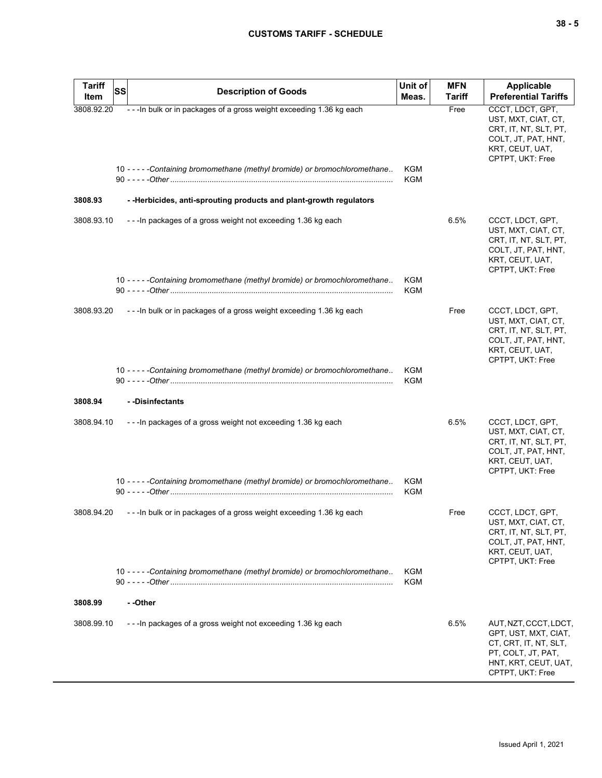| <b>Tariff</b> | <b>SS</b><br><b>Description of Goods</b>                                    | Unit of                  | <b>MFN</b>    | <b>Applicable</b>                                                                                                                        |
|---------------|-----------------------------------------------------------------------------|--------------------------|---------------|------------------------------------------------------------------------------------------------------------------------------------------|
| Item          |                                                                             | Meas.                    | <b>Tariff</b> | <b>Preferential Tariffs</b>                                                                                                              |
| 3808.92.20    | --- In bulk or in packages of a gross weight exceeding 1.36 kg each         |                          | Free          | CCCT, LDCT, GPT,<br>UST, MXT, CIAT, CT,<br>CRT, IT, NT, SLT, PT,<br>COLT, JT, PAT, HNT,<br>KRT, CEUT, UAT,<br>CPTPT, UKT: Free           |
|               | 10 - - - - - Containing bromomethane (methyl bromide) or bromochloromethane | KGM<br>KGM               |               |                                                                                                                                          |
| 3808.93       | - - Herbicides, anti-sprouting products and plant-growth regulators         |                          |               |                                                                                                                                          |
| 3808.93.10    | --- In packages of a gross weight not exceeding 1.36 kg each                |                          | 6.5%          | CCCT, LDCT, GPT,<br>UST, MXT, CIAT, CT,<br>CRT, IT, NT, SLT, PT,<br>COLT, JT, PAT, HNT,<br>KRT, CEUT, UAT,<br>CPTPT, UKT: Free           |
|               | 10 - - - - - Containing bromomethane (methyl bromide) or bromochloromethane | KGM<br>KGM               |               |                                                                                                                                          |
| 3808.93.20    | --- In bulk or in packages of a gross weight exceeding 1.36 kg each         |                          | Free          | CCCT, LDCT, GPT,<br>UST, MXT, CIAT, CT,<br>CRT, IT, NT, SLT, PT,<br>COLT, JT, PAT, HNT,<br>KRT, CEUT, UAT,<br>CPTPT, UKT: Free           |
|               | 10 - - - - - Containing bromomethane (methyl bromide) or bromochloromethane | KGM<br>KGM               |               |                                                                                                                                          |
| 3808.94       | --Disinfectants                                                             |                          |               |                                                                                                                                          |
| 3808.94.10    | - - - In packages of a gross weight not exceeding 1.36 kg each              |                          | 6.5%          | CCCT, LDCT, GPT,<br>UST, MXT, CIAT, CT,<br>CRT, IT, NT, SLT, PT,<br>COLT, JT, PAT, HNT,<br>KRT, CEUT, UAT,<br>CPTPT, UKT: Free           |
|               | 10 - - - - - Containing bromomethane (methyl bromide) or bromochloromethane | <b>KGM</b><br><b>KGM</b> |               |                                                                                                                                          |
| 3808.94.20    | --- In bulk or in packages of a gross weight exceeding 1.36 kg each         |                          | Free          | CCCT, LDCT, GPT,<br>UST, MXT, CIAT, CT,<br>CRT, IT, NT, SLT, PT,<br>COLT, JT, PAT, HNT,<br>KRT, CEUT, UAT,<br>CPTPT, UKT: Free           |
|               | 10 - - - - - Containing bromomethane (methyl bromide) or bromochloromethane | KGM<br>KGM               |               |                                                                                                                                          |
| 3808.99       | - -Other                                                                    |                          |               |                                                                                                                                          |
| 3808.99.10    | --- In packages of a gross weight not exceeding 1.36 kg each                |                          | 6.5%          | AUT, NZT, CCCT, LDCT,<br>GPT, UST, MXT, CIAT,<br>CT, CRT, IT, NT, SLT,<br>PT, COLT, JT, PAT,<br>HNT, KRT, CEUT, UAT,<br>CPTPT, UKT: Free |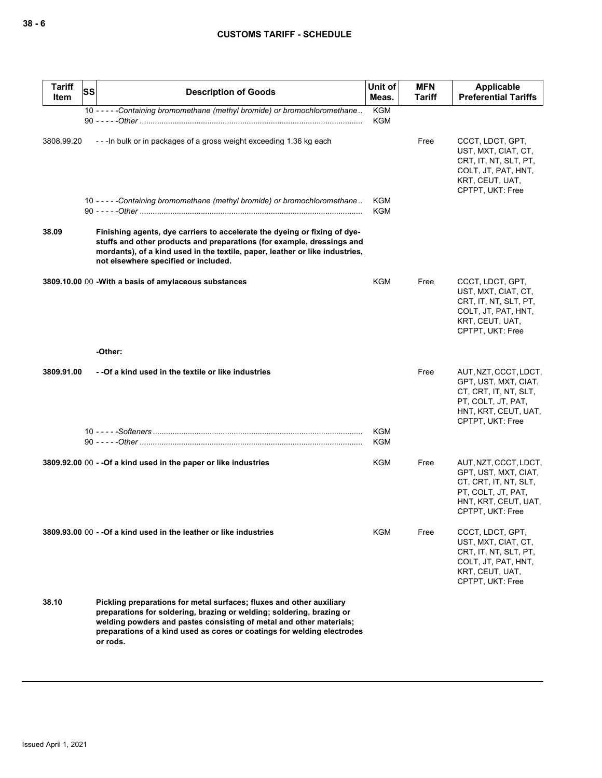| <b>Tariff</b><br>Item | <b>SS</b><br><b>Description of Goods</b>                                                                                                                                                                                                                                                                    | Unit of<br>Meas.         | <b>MFN</b><br>Tariff | Applicable<br><b>Preferential Tariffs</b>                                                                                                |
|-----------------------|-------------------------------------------------------------------------------------------------------------------------------------------------------------------------------------------------------------------------------------------------------------------------------------------------------------|--------------------------|----------------------|------------------------------------------------------------------------------------------------------------------------------------------|
|                       | 10 - - - - - Containing bromomethane (methyl bromide) or bromochloromethane                                                                                                                                                                                                                                 | <b>KGM</b><br><b>KGM</b> |                      |                                                                                                                                          |
|                       |                                                                                                                                                                                                                                                                                                             |                          |                      |                                                                                                                                          |
| 3808.99.20            | --- In bulk or in packages of a gross weight exceeding 1.36 kg each                                                                                                                                                                                                                                         |                          | Free                 | CCCT, LDCT, GPT,<br>UST, MXT, CIAT, CT,<br>CRT, IT, NT, SLT, PT,<br>COLT, JT, PAT, HNT,<br>KRT, CEUT, UAT,<br>CPTPT, UKT: Free           |
|                       | 10 - - - - - Containing bromomethane (methyl bromide) or bromochloromethane                                                                                                                                                                                                                                 | <b>KGM</b><br><b>KGM</b> |                      |                                                                                                                                          |
| 38.09                 | Finishing agents, dye carriers to accelerate the dyeing or fixing of dye-<br>stuffs and other products and preparations (for example, dressings and<br>mordants), of a kind used in the textile, paper, leather or like industries,<br>not elsewhere specified or included.                                 |                          |                      |                                                                                                                                          |
|                       | 3809.10.00 00 - With a basis of amylaceous substances                                                                                                                                                                                                                                                       | KGM                      | Free                 | CCCT, LDCT, GPT,<br>UST, MXT, CIAT, CT,<br>CRT, IT, NT, SLT, PT,<br>COLT, JT, PAT, HNT,<br>KRT, CEUT, UAT,<br>CPTPT, UKT: Free           |
|                       | -Other:                                                                                                                                                                                                                                                                                                     |                          |                      |                                                                                                                                          |
| 3809.91.00            | - - Of a kind used in the textile or like industries                                                                                                                                                                                                                                                        |                          | Free                 | AUT, NZT, CCCT, LDCT,<br>GPT, UST, MXT, CIAT,<br>CT, CRT, IT, NT, SLT,<br>PT, COLT, JT, PAT,<br>HNT, KRT, CEUT, UAT,<br>CPTPT, UKT: Free |
|                       |                                                                                                                                                                                                                                                                                                             | <b>KGM</b>               |                      |                                                                                                                                          |
|                       |                                                                                                                                                                                                                                                                                                             | KGM                      |                      |                                                                                                                                          |
|                       | 3809.92.00 00 - - Of a kind used in the paper or like industries                                                                                                                                                                                                                                            | <b>KGM</b>               | Free                 | AUT, NZT, CCCT, LDCT,<br>GPT, UST, MXT, CIAT,<br>CT, CRT, IT, NT, SLT,<br>PT, COLT, JT, PAT,<br>HNT, KRT, CEUT, UAT,<br>CPTPT, UKT: Free |
|                       | 3809.93.00 00 - - Of a kind used in the leather or like industries                                                                                                                                                                                                                                          | KGM                      | Free                 | CCCT, LDCT, GPT,<br>UST, MXT, CIAT, CT,<br>CRT, IT, NT, SLT, PT,<br>COLT, JT, PAT, HNT,<br>KRT, CEUT, UAT,<br>CPTPT, UKT: Free           |
| 38.10                 | Pickling preparations for metal surfaces; fluxes and other auxiliary<br>preparations for soldering, brazing or welding; soldering, brazing or<br>welding powders and pastes consisting of metal and other materials;<br>preparations of a kind used as cores or coatings for welding electrodes<br>or rods. |                          |                      |                                                                                                                                          |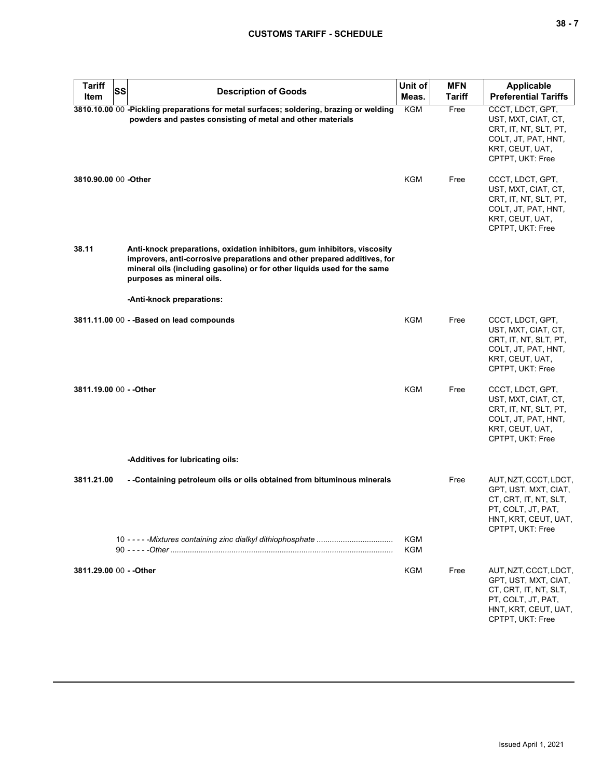| <b>Tariff</b>           | <b>SS</b> |                                                                                                                                                                                                                                                               | Unit of                  | <b>MFN</b>    | <b>Applicable</b>                                                                                                                        |
|-------------------------|-----------|---------------------------------------------------------------------------------------------------------------------------------------------------------------------------------------------------------------------------------------------------------------|--------------------------|---------------|------------------------------------------------------------------------------------------------------------------------------------------|
| Item                    |           | <b>Description of Goods</b>                                                                                                                                                                                                                                   | Meas.                    | <b>Tariff</b> | <b>Preferential Tariffs</b>                                                                                                              |
|                         |           | 3810.10.00 00 -Pickling preparations for metal surfaces; soldering, brazing or welding<br>powders and pastes consisting of metal and other materials                                                                                                          | KGM                      | Free          | CCCT, LDCT, GPT,<br>UST, MXT, CIAT, CT,<br>CRT, IT, NT, SLT, PT,<br>COLT, JT, PAT, HNT,<br>KRT, CEUT, UAT,<br>CPTPT, UKT: Free           |
| 3810.90.00 00 - Other   |           |                                                                                                                                                                                                                                                               | <b>KGM</b>               | Free          | CCCT, LDCT, GPT,<br>UST, MXT, CIAT, CT,<br>CRT, IT, NT, SLT, PT,<br>COLT, JT, PAT, HNT,<br>KRT, CEUT, UAT,<br>CPTPT, UKT: Free           |
| 38.11                   |           | Anti-knock preparations, oxidation inhibitors, gum inhibitors, viscosity<br>improvers, anti-corrosive preparations and other prepared additives, for<br>mineral oils (including gasoline) or for other liquids used for the same<br>purposes as mineral oils. |                          |               |                                                                                                                                          |
|                         |           | -Anti-knock preparations:                                                                                                                                                                                                                                     |                          |               |                                                                                                                                          |
|                         |           | 3811.11.00 00 - - Based on lead compounds                                                                                                                                                                                                                     | KGM                      | Free          | CCCT, LDCT, GPT,<br>UST, MXT, CIAT, CT,<br>CRT, IT, NT, SLT, PT,<br>COLT, JT, PAT, HNT,<br>KRT, CEUT, UAT,<br>CPTPT, UKT: Free           |
| 3811.19.00 00 - - Other |           |                                                                                                                                                                                                                                                               | <b>KGM</b>               | Free          | CCCT, LDCT, GPT,<br>UST, MXT, CIAT, CT,<br>CRT, IT, NT, SLT, PT,<br>COLT, JT, PAT, HNT,<br>KRT, CEUT, UAT,<br>CPTPT, UKT: Free           |
|                         |           | -Additives for lubricating oils:                                                                                                                                                                                                                              |                          |               |                                                                                                                                          |
| 3811.21.00              |           | - -Containing petroleum oils or oils obtained from bituminous minerals                                                                                                                                                                                        |                          | Free          | AUT, NZT, CCCT, LDCT,<br>GPT, UST, MXT, CIAT,<br>CT, CRT, IT, NT, SLT,<br>PT, COLT, JT, PAT,<br>HNT, KRT, CEUT, UAT,<br>CPTPT, UKT: Free |
|                         |           |                                                                                                                                                                                                                                                               | <b>KGM</b><br><b>KGM</b> |               |                                                                                                                                          |
| 3811.29.00 00 - - Other |           |                                                                                                                                                                                                                                                               | <b>KGM</b>               | Free          | AUT, NZT, CCCT, LDCT,<br>GPT, UST, MXT, CIAT,<br>CT, CRT, IT, NT, SLT,<br>PT, COLT, JT, PAT,<br>HNT, KRT, CEUT, UAT,<br>CPTPT, UKT: Free |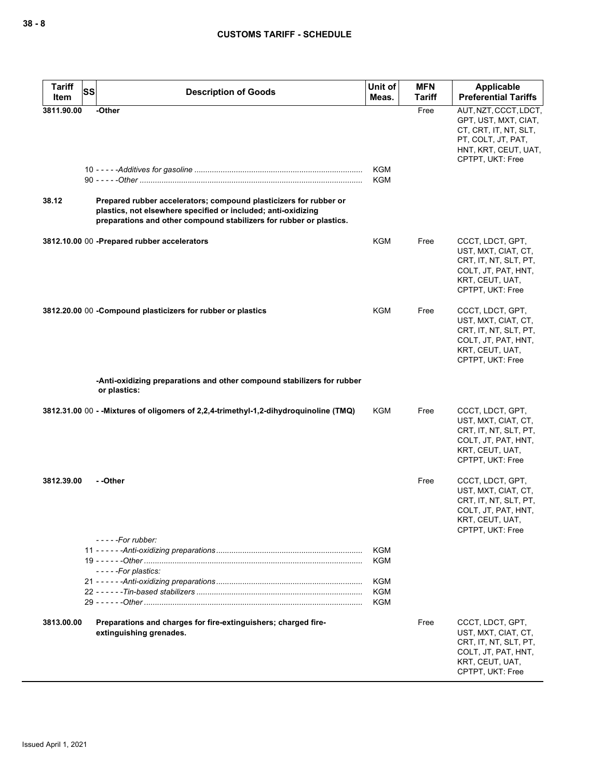| <b>Tariff</b><br><b>SS</b><br>Item | <b>Description of Goods</b>                                                                                                                                                                               | Unit of<br>Meas.         | <b>MFN</b><br><b>Tariff</b> | Applicable<br><b>Preferential Tariffs</b>                                                                                                |
|------------------------------------|-----------------------------------------------------------------------------------------------------------------------------------------------------------------------------------------------------------|--------------------------|-----------------------------|------------------------------------------------------------------------------------------------------------------------------------------|
| 3811.90.00                         | -Other                                                                                                                                                                                                    |                          | Free                        | AUT, NZT, CCCT, LDCT,<br>GPT, UST, MXT, CIAT,<br>CT, CRT, IT, NT, SLT,<br>PT, COLT, JT, PAT,<br>HNT, KRT, CEUT, UAT,<br>CPTPT, UKT: Free |
|                                    |                                                                                                                                                                                                           | <b>KGM</b><br><b>KGM</b> |                             |                                                                                                                                          |
| 38.12                              | Prepared rubber accelerators; compound plasticizers for rubber or<br>plastics, not elsewhere specified or included; anti-oxidizing<br>preparations and other compound stabilizers for rubber or plastics. |                          |                             |                                                                                                                                          |
|                                    | 3812.10.00 00 - Prepared rubber accelerators                                                                                                                                                              | KGM                      | Free                        | CCCT, LDCT, GPT,<br>UST, MXT, CIAT, CT,<br>CRT, IT, NT, SLT, PT,<br>COLT, JT, PAT, HNT,<br>KRT, CEUT, UAT,<br>CPTPT, UKT: Free           |
|                                    | 3812.20.00 00 - Compound plasticizers for rubber or plastics                                                                                                                                              | <b>KGM</b>               | Free                        | CCCT, LDCT, GPT,<br>UST, MXT, CIAT, CT,<br>CRT, IT, NT, SLT, PT,<br>COLT, JT, PAT, HNT,<br>KRT, CEUT, UAT,<br>CPTPT, UKT: Free           |
|                                    | -Anti-oxidizing preparations and other compound stabilizers for rubber<br>or plastics:                                                                                                                    |                          |                             |                                                                                                                                          |
|                                    | 3812.31.00 00 - - Mixtures of oligomers of 2,2,4-trimethyl-1,2-dihydroquinoline (TMQ)                                                                                                                     | <b>KGM</b>               | Free                        | CCCT, LDCT, GPT,<br>UST, MXT, CIAT, CT,<br>CRT, IT, NT, SLT, PT,<br>COLT, JT, PAT, HNT,<br>KRT, CEUT, UAT,<br>CPTPT, UKT: Free           |
| 3812.39.00                         | - -Other<br>- - - - -For rubber:                                                                                                                                                                          |                          | Free                        | CCCT, LDCT, GPT,<br>UST, MXT, CIAT, CT,<br>CRT, IT, NT, SLT, PT,<br>COLT, JT, PAT, HNT,<br>KRT, CEUT, UAT,<br>CPTPT, UKT: Free           |
|                                    |                                                                                                                                                                                                           | <b>KGM</b><br>KGM        |                             |                                                                                                                                          |
|                                    | -----For plastics:                                                                                                                                                                                        | KGM<br>KGM<br>KGM        |                             |                                                                                                                                          |
| 3813.00.00                         | Preparations and charges for fire-extinguishers; charged fire-<br>extinguishing grenades.                                                                                                                 |                          | Free                        | CCCT, LDCT, GPT,<br>UST, MXT, CIAT, CT,<br>CRT, IT, NT, SLT, PT,<br>COLT, JT, PAT, HNT,<br>KRT, CEUT, UAT,<br>CPTPT, UKT: Free           |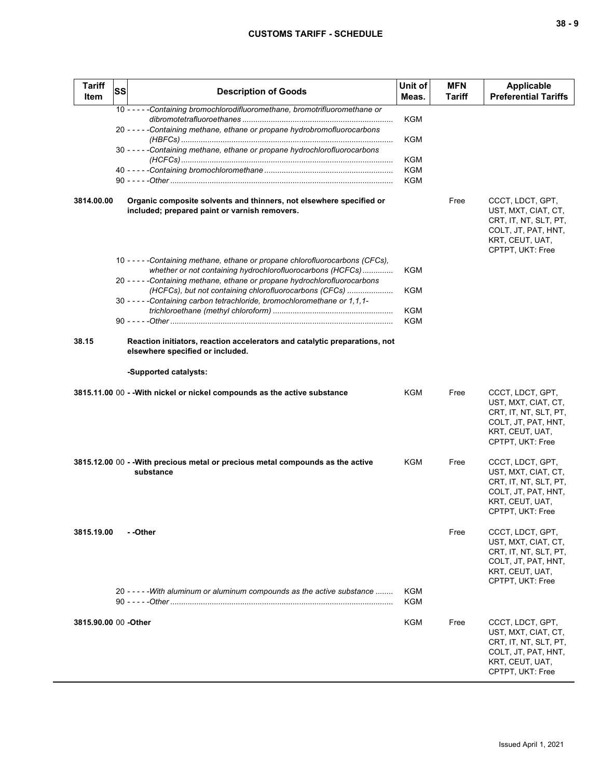| <b>Tariff</b><br><b>Item</b> | SS | <b>Description of Goods</b>                                                                                                                                                                                                                                                                                                                                         | Unit of<br>Meas.                | <b>MFN</b><br>Tariff | Applicable<br><b>Preferential Tariffs</b>                                                                                      |
|------------------------------|----|---------------------------------------------------------------------------------------------------------------------------------------------------------------------------------------------------------------------------------------------------------------------------------------------------------------------------------------------------------------------|---------------------------------|----------------------|--------------------------------------------------------------------------------------------------------------------------------|
|                              |    | 10 - - - - - Containing bromochlorodifluoromethane, bromotrifluoromethane or<br>20 - - - - - Containing methane, ethane or propane hydrobromofluorocarbons<br>30 - - - - - Containing methane, ethane or propane hydrochlorofluorocarbons                                                                                                                           | KGM<br>KGM<br>KGM<br>KGM<br>KGM |                      |                                                                                                                                |
| 3814.00.00                   |    | Organic composite solvents and thinners, not elsewhere specified or<br>included; prepared paint or varnish removers.                                                                                                                                                                                                                                                |                                 | Free                 | CCCT, LDCT, GPT,<br>UST, MXT, CIAT, CT,<br>CRT, IT, NT, SLT, PT,<br>COLT, JT, PAT, HNT,<br>KRT, CEUT, UAT,<br>CPTPT, UKT: Free |
|                              |    | 10 - - - - - Containing methane, ethane or propane chlorofluorocarbons (CFCs),<br>whether or not containing hydrochlorofluorocarbons (HCFCs)<br>20 - - - - - Containing methane, ethane or propane hydrochlorofluorocarbons<br>(HCFCs), but not containing chlorofluorocarbons (CFCs)<br>30 - - - - - Containing carbon tetrachloride, bromochloromethane or 1,1,1- | KGM<br>KGM<br>KGM<br>KGM        |                      |                                                                                                                                |
| 38.15                        |    | Reaction initiators, reaction accelerators and catalytic preparations, not<br>elsewhere specified or included.<br>-Supported catalysts:                                                                                                                                                                                                                             |                                 |                      |                                                                                                                                |
|                              |    | 3815.11.00 00 - - With nickel or nickel compounds as the active substance                                                                                                                                                                                                                                                                                           | KGM                             | Free                 | CCCT, LDCT, GPT,<br>UST, MXT, CIAT, CT,<br>CRT, IT, NT, SLT, PT,<br>COLT, JT, PAT, HNT,<br>KRT, CEUT, UAT,<br>CPTPT, UKT: Free |
|                              |    | 3815.12.00 00 - - With precious metal or precious metal compounds as the active<br>substance                                                                                                                                                                                                                                                                        | KGM                             | Free                 | CCCT, LDCT, GPT,<br>UST, MXT, CIAT, CT,<br>CRT, IT, NT, SLT, PT,<br>COLT, JT, PAT, HNT,<br>KRT, CEUT, UAT,<br>CPTPT, UKT: Free |
| 3815.19.00                   |    | - -Other                                                                                                                                                                                                                                                                                                                                                            |                                 | Free                 | CCCT, LDCT, GPT,<br>UST, MXT, CIAT, CT,<br>CRT, IT, NT, SLT, PT,<br>COLT, JT, PAT, HNT,<br>KRT, CEUT, UAT,<br>CPTPT, UKT: Free |
|                              |    | 20 - - - - - With aluminum or aluminum compounds as the active substance                                                                                                                                                                                                                                                                                            | KGM<br>KGM                      |                      |                                                                                                                                |
| 3815.90.00 00 - Other        |    |                                                                                                                                                                                                                                                                                                                                                                     | KGM                             | Free                 | CCCT, LDCT, GPT,<br>UST, MXT, CIAT, CT,<br>CRT, IT, NT, SLT, PT,<br>COLT, JT, PAT, HNT,<br>KRT, CEUT, UAT,<br>CPTPT, UKT: Free |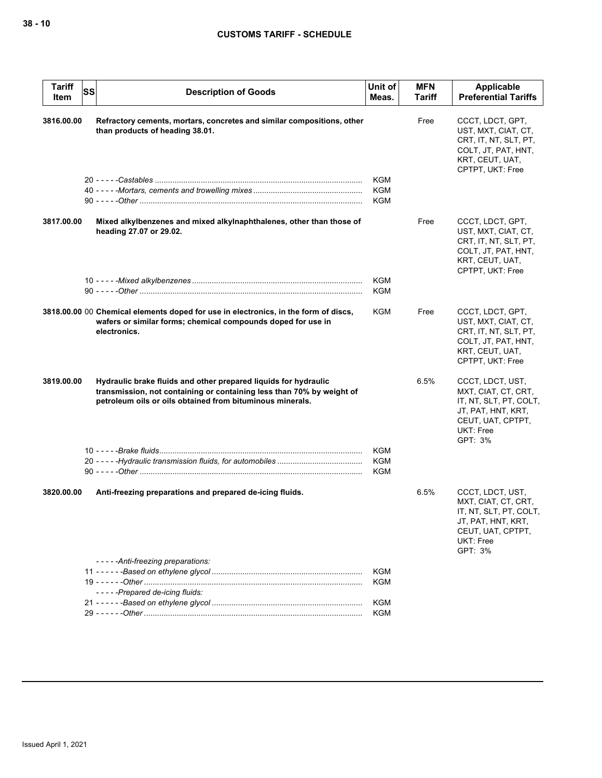| <b>Tariff</b><br>Item | <b>SS</b><br><b>Description of Goods</b>                                                                                                                                                              | Unit of<br>Meas.  | <b>MFN</b><br>Tariff | Applicable<br><b>Preferential Tariffs</b>                                                                                            |
|-----------------------|-------------------------------------------------------------------------------------------------------------------------------------------------------------------------------------------------------|-------------------|----------------------|--------------------------------------------------------------------------------------------------------------------------------------|
| 3816.00.00            | Refractory cements, mortars, concretes and similar compositions, other<br>than products of heading 38.01.                                                                                             |                   | Free                 | CCCT, LDCT, GPT,<br>UST, MXT, CIAT, CT,<br>CRT, IT, NT, SLT, PT,<br>COLT, JT, PAT, HNT,<br>KRT, CEUT, UAT,<br>CPTPT, UKT: Free       |
|                       |                                                                                                                                                                                                       | KGM<br>KGM<br>KGM |                      |                                                                                                                                      |
| 3817.00.00            | Mixed alkylbenzenes and mixed alkylnaphthalenes, other than those of<br>heading 27.07 or 29.02.                                                                                                       |                   | Free                 | CCCT, LDCT, GPT,<br>UST, MXT, CIAT, CT,<br>CRT, IT, NT, SLT, PT,<br>COLT, JT, PAT, HNT,<br>KRT, CEUT, UAT,<br>CPTPT, UKT: Free       |
|                       |                                                                                                                                                                                                       | KGM               |                      |                                                                                                                                      |
|                       |                                                                                                                                                                                                       | <b>KGM</b>        |                      |                                                                                                                                      |
|                       | 3818.00.00 00 Chemical elements doped for use in electronics, in the form of discs,<br>wafers or similar forms; chemical compounds doped for use in<br>electronics.                                   | KGM               | Free                 | CCCT, LDCT, GPT,<br>UST, MXT, CIAT, CT,<br>CRT, IT, NT, SLT, PT,<br>COLT, JT, PAT, HNT,<br>KRT, CEUT, UAT,<br>CPTPT, UKT: Free       |
| 3819.00.00            | Hydraulic brake fluids and other prepared liquids for hydraulic<br>transmission, not containing or containing less than 70% by weight of<br>petroleum oils or oils obtained from bituminous minerals. |                   | 6.5%                 | CCCT, LDCT, UST,<br>MXT, CIAT, CT, CRT,<br>IT, NT, SLT, PT, COLT,<br>JT, PAT, HNT, KRT,<br>CEUT, UAT, CPTPT,<br>UKT: Free<br>GPT: 3% |
|                       |                                                                                                                                                                                                       | <b>KGM</b>        |                      |                                                                                                                                      |
|                       |                                                                                                                                                                                                       | <b>KGM</b>        |                      |                                                                                                                                      |
|                       |                                                                                                                                                                                                       | KGM               |                      |                                                                                                                                      |
| 3820.00.00            | Anti-freezing preparations and prepared de-icing fluids.<br>-----Anti-freezing preparations:                                                                                                          |                   | 6.5%                 | CCCT, LDCT, UST,<br>MXT, CIAT, CT, CRT,<br>IT, NT, SLT, PT, COLT,<br>JT, PAT, HNT, KRT,<br>CEUT, UAT, CPTPT,<br>UKT: Free<br>GPT: 3% |
|                       |                                                                                                                                                                                                       | <b>KGM</b>        |                      |                                                                                                                                      |
|                       |                                                                                                                                                                                                       | KGM               |                      |                                                                                                                                      |
|                       | -----Prepared de-icing fluids:                                                                                                                                                                        |                   |                      |                                                                                                                                      |
|                       |                                                                                                                                                                                                       | <b>KGM</b>        |                      |                                                                                                                                      |
|                       |                                                                                                                                                                                                       | <b>KGM</b>        |                      |                                                                                                                                      |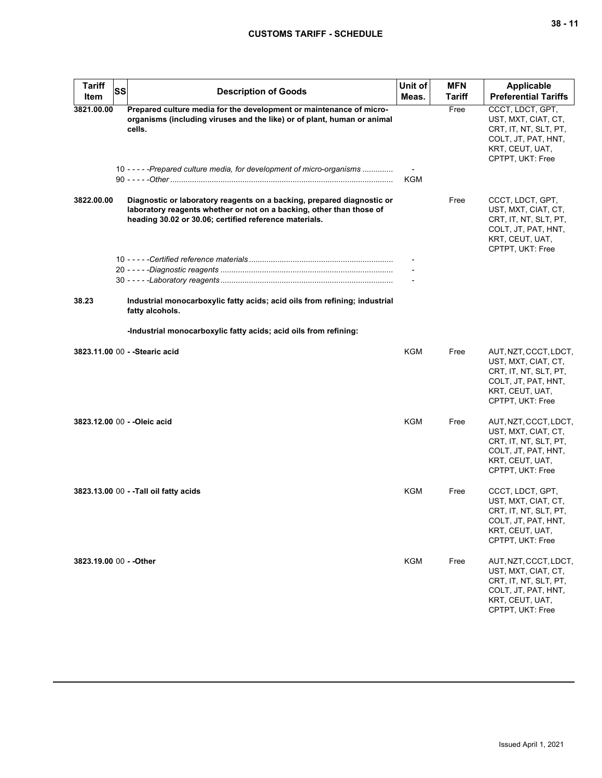| <b>Tariff</b><br>Item   | SS | <b>Description of Goods</b>                                                                                                                                                                                                         | Unit of<br>Meas. | <b>MFN</b><br><b>Tariff</b> | <b>Applicable</b><br><b>Preferential Tariffs</b>                                                                                    |
|-------------------------|----|-------------------------------------------------------------------------------------------------------------------------------------------------------------------------------------------------------------------------------------|------------------|-----------------------------|-------------------------------------------------------------------------------------------------------------------------------------|
| 3821.00.00              |    | Prepared culture media for the development or maintenance of micro-<br>organisms (including viruses and the like) or of plant, human or animal<br>cells.<br>10 - - - - - Prepared culture media, for development of micro-organisms | KGM              | Free                        | CCCT, LDCT, GPT,<br>UST, MXT, CIAT, CT,<br>CRT, IT, NT, SLT, PT,<br>COLT, JT, PAT, HNT,<br>KRT, CEUT, UAT,<br>CPTPT, UKT: Free      |
| 3822.00.00              |    | Diagnostic or laboratory reagents on a backing, prepared diagnostic or<br>laboratory reagents whether or not on a backing, other than those of<br>heading 30.02 or 30.06; certified reference materials.                            |                  | Free                        | CCCT, LDCT, GPT,<br>UST, MXT, CIAT, CT,<br>CRT, IT, NT, SLT, PT,<br>COLT, JT, PAT, HNT,<br>KRT, CEUT, UAT,<br>CPTPT, UKT: Free      |
| 38.23                   |    | Industrial monocarboxylic fatty acids; acid oils from refining; industrial                                                                                                                                                          |                  |                             |                                                                                                                                     |
|                         |    | fatty alcohols.                                                                                                                                                                                                                     |                  |                             |                                                                                                                                     |
|                         |    | -Industrial monocarboxylic fatty acids; acid oils from refining:                                                                                                                                                                    |                  |                             |                                                                                                                                     |
|                         |    | 3823.11.00 00 - - Stearic acid                                                                                                                                                                                                      | <b>KGM</b>       | Free                        | AUT, NZT, CCCT, LDCT,<br>UST, MXT, CIAT, CT,<br>CRT, IT, NT, SLT, PT,<br>COLT, JT, PAT, HNT,<br>KRT, CEUT, UAT,<br>CPTPT, UKT: Free |
|                         |    | 3823.12.00 00 - - Oleic acid                                                                                                                                                                                                        | <b>KGM</b>       | Free                        | AUT, NZT, CCCT, LDCT,<br>UST, MXT, CIAT, CT,<br>CRT, IT, NT, SLT, PT,<br>COLT, JT, PAT, HNT,<br>KRT, CEUT, UAT,<br>CPTPT, UKT: Free |
|                         |    | 3823.13.00 00 - -Tall oil fatty acids                                                                                                                                                                                               | KGM              | Free                        | CCCT, LDCT, GPT,<br>UST, MXT, CIAT, CT,<br>CRT, IT, NT, SLT, PT,<br>COLT, JT, PAT, HNT,<br>KRT, CEUT, UAT,<br>CPTPT, UKT: Free      |
| 3823.19.00 00 - - Other |    |                                                                                                                                                                                                                                     | <b>KGM</b>       | Free                        | AUT, NZT, CCCT, LDCT,<br>UST, MXT, CIAT, CT,<br>CRT, IT, NT, SLT, PT,<br>COLT, JT, PAT, HNT,<br>KRT, CEUT, UAT,<br>CPTPT, UKT: Free |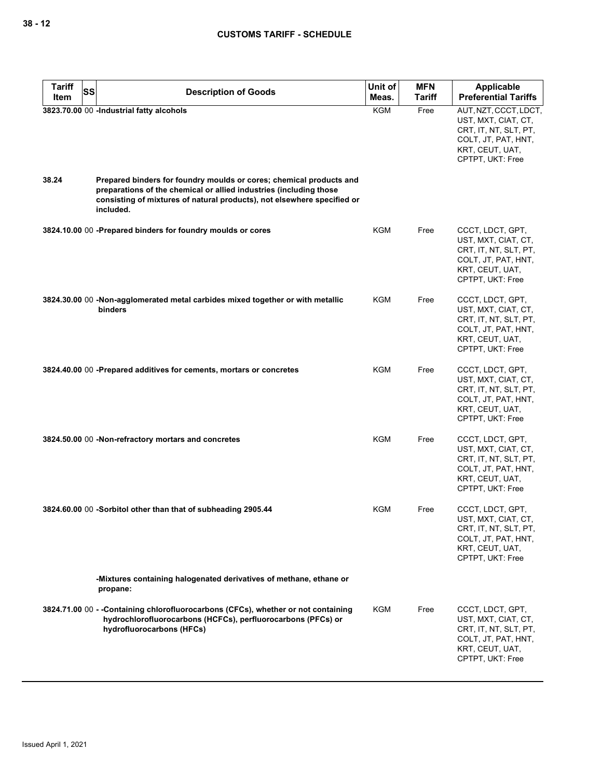| <b>Tariff</b><br>SS | <b>Description of Goods</b>                                                                                                                                                                                                       | Unit of    | <b>MFN</b>    | <b>Applicable</b>                                                                                                                   |
|---------------------|-----------------------------------------------------------------------------------------------------------------------------------------------------------------------------------------------------------------------------------|------------|---------------|-------------------------------------------------------------------------------------------------------------------------------------|
| Item                |                                                                                                                                                                                                                                   | Meas.      | <b>Tariff</b> | <b>Preferential Tariffs</b>                                                                                                         |
|                     | 3823.70.00 00 -Industrial fatty alcohols                                                                                                                                                                                          | <b>KGM</b> | Free          | AUT, NZT, CCCT, LDCT,<br>UST, MXT, CIAT, CT,<br>CRT, IT, NT, SLT, PT,<br>COLT, JT, PAT, HNT,<br>KRT, CEUT, UAT,<br>CPTPT, UKT: Free |
| 38.24               | Prepared binders for foundry moulds or cores; chemical products and<br>preparations of the chemical or allied industries (including those<br>consisting of mixtures of natural products), not elsewhere specified or<br>included. |            |               |                                                                                                                                     |
|                     | 3824.10.00 00 -Prepared binders for foundry moulds or cores                                                                                                                                                                       | <b>KGM</b> | Free          | CCCT, LDCT, GPT,<br>UST, MXT, CIAT, CT,<br>CRT, IT, NT, SLT, PT,<br>COLT, JT, PAT, HNT,<br>KRT, CEUT, UAT,<br>CPTPT, UKT: Free      |
|                     | 3824.30.00 00 -Non-agglomerated metal carbides mixed together or with metallic<br>binders                                                                                                                                         | KGM        | Free          | CCCT, LDCT, GPT,<br>UST, MXT, CIAT, CT,<br>CRT, IT, NT, SLT, PT,<br>COLT, JT, PAT, HNT,<br>KRT, CEUT, UAT,<br>CPTPT, UKT: Free      |
|                     | 3824.40.00 00 -Prepared additives for cements, mortars or concretes                                                                                                                                                               | KGM        | Free          | CCCT, LDCT, GPT,<br>UST, MXT, CIAT, CT,<br>CRT, IT, NT, SLT, PT,<br>COLT, JT, PAT, HNT,<br>KRT, CEUT, UAT,<br>CPTPT, UKT: Free      |
|                     | 3824.50.00 00 -Non-refractory mortars and concretes                                                                                                                                                                               | KGM        | Free          | CCCT, LDCT, GPT,<br>UST, MXT, CIAT, CT,<br>CRT, IT, NT, SLT, PT,<br>COLT, JT, PAT, HNT,<br>KRT, CEUT, UAT,<br>CPTPT, UKT: Free      |
|                     | 3824.60.00 00 -Sorbitol other than that of subheading 2905.44                                                                                                                                                                     | KGM        | Free          | CCCT, LDCT, GPT,<br>UST, MXT, CIAT, CT,<br>CRT, IT, NT, SLT, PT,<br>COLT, JT, PAT, HNT,<br>KRT, CEUT, UAT,<br>CPTPT, UKT: Free      |
|                     | -Mixtures containing halogenated derivatives of methane, ethane or<br>propane:                                                                                                                                                    |            |               |                                                                                                                                     |
|                     | 3824.71.00 00 - -Containing chlorofluorocarbons (CFCs), whether or not containing<br>hydrochlorofluorocarbons (HCFCs), perfluorocarbons (PFCs) or<br>hydrofluorocarbons (HFCs)                                                    | KGM        | Free          | CCCT, LDCT, GPT,<br>UST, MXT, CIAT, CT,<br>CRT, IT, NT, SLT, PT,<br>COLT, JT, PAT, HNT,<br>KRT, CEUT, UAT,<br>CPTPT, UKT: Free      |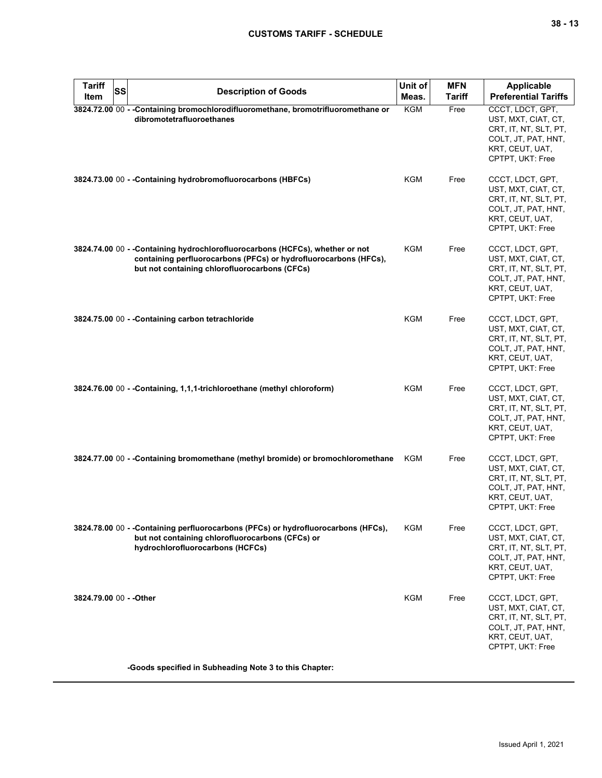| <b>Tariff</b><br>SS<br>Item | <b>Description of Goods</b>                                                                                                                                                                       | Unit of<br>Meas. | <b>MFN</b><br><b>Tariff</b> | Applicable<br><b>Preferential Tariffs</b>                                                                                      |
|-----------------------------|---------------------------------------------------------------------------------------------------------------------------------------------------------------------------------------------------|------------------|-----------------------------|--------------------------------------------------------------------------------------------------------------------------------|
|                             | 3824.72.00 00 - - Containing bromochlorodifluoromethane, bromotrifluoromethane or<br>dibromotetrafluoroethanes                                                                                    | <b>KGM</b>       | Free                        | CCCT, LDCT, GPT,<br>UST, MXT, CIAT, CT,<br>CRT, IT, NT, SLT, PT,<br>COLT, JT, PAT, HNT,<br>KRT, CEUT, UAT,<br>CPTPT, UKT: Free |
|                             | 3824.73.00 00 - - Containing hydrobromofluorocarbons (HBFCs)                                                                                                                                      | KGM              | Free                        | CCCT, LDCT, GPT,<br>UST, MXT, CIAT, CT,<br>CRT, IT, NT, SLT, PT,<br>COLT, JT, PAT, HNT,<br>KRT, CEUT, UAT,<br>CPTPT, UKT: Free |
|                             | 3824.74.00 00 - -Containing hydrochlorofluorocarbons (HCFCs), whether or not<br>containing perfluorocarbons (PFCs) or hydrofluorocarbons (HFCs),<br>but not containing chlorofluorocarbons (CFCs) | KGM              | Free                        | CCCT, LDCT, GPT,<br>UST, MXT, CIAT, CT,<br>CRT, IT, NT, SLT, PT,<br>COLT, JT, PAT, HNT,<br>KRT, CEUT, UAT,<br>CPTPT, UKT: Free |
|                             | 3824.75.00 00 - - Containing carbon tetrachloride                                                                                                                                                 | KGM              | Free                        | CCCT, LDCT, GPT,<br>UST, MXT, CIAT, CT,<br>CRT, IT, NT, SLT, PT,<br>COLT, JT, PAT, HNT,<br>KRT, CEUT, UAT,<br>CPTPT, UKT: Free |
|                             | 3824.76.00 00 - -Containing, 1,1,1-trichloroethane (methyl chloroform)                                                                                                                            | KGM              | Free                        | CCCT, LDCT, GPT,<br>UST, MXT, CIAT, CT,<br>CRT, IT, NT, SLT, PT,<br>COLT, JT, PAT, HNT,<br>KRT, CEUT, UAT,<br>CPTPT, UKT: Free |
|                             | 3824.77.00 00 - -Containing bromomethane (methyl bromide) or bromochloromethane                                                                                                                   | KGM              | Free                        | CCCT, LDCT, GPT,<br>UST, MXT, CIAT, CT,<br>CRT, IT, NT, SLT, PT,<br>COLT, JT, PAT, HNT,<br>KRT, CEUT, UAT,<br>CPTPT, UKT: Free |
|                             | 3824.78.00 00 - - Containing perfluorocarbons (PFCs) or hydrofluorocarbons (HFCs),<br>but not containing chlorofluorocarbons (CFCs) or<br>hydrochlorofluorocarbons (HCFCs)                        | KGM              | Free                        | CCCT, LDCT, GPT,<br>UST, MXT, CIAT, CT,<br>CRT, IT, NT, SLT, PT,<br>COLT, JT, PAT, HNT,<br>KRT, CEUT, UAT,<br>CPTPT, UKT: Free |
| 3824.79.00 00 - - Other     |                                                                                                                                                                                                   | KGM              | Free                        | CCCT, LDCT, GPT,<br>UST, MXT, CIAT, CT,<br>CRT, IT, NT, SLT, PT,<br>COLT, JT, PAT, HNT,<br>KRT, CEUT, UAT,<br>CPTPT, UKT: Free |
|                             | -Goods specified in Subheading Note 3 to this Chapter:                                                                                                                                            |                  |                             |                                                                                                                                |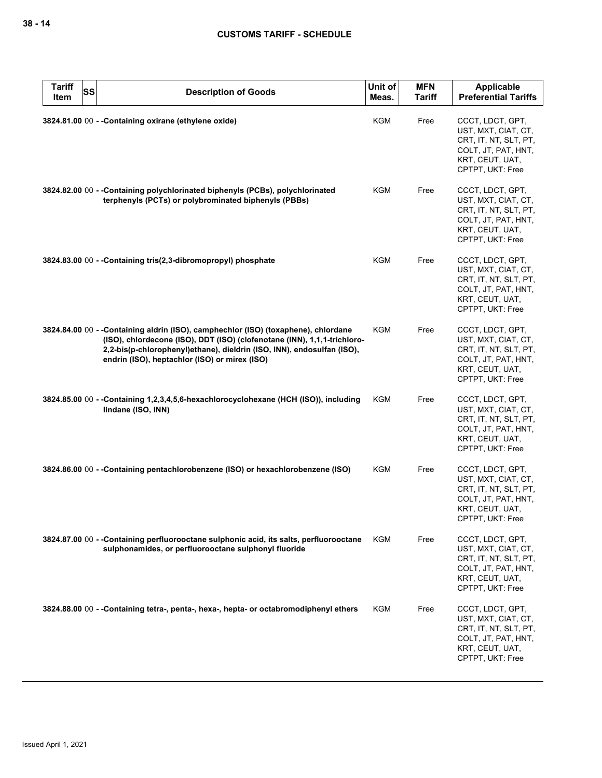| <b>Tariff</b><br><b>SS</b><br>Item | <b>Description of Goods</b>                                                                                                                                                                                                                                                               | Unit of<br>Meas. | <b>MFN</b><br><b>Tariff</b> | <b>Applicable</b><br><b>Preferential Tariffs</b>                                                                               |
|------------------------------------|-------------------------------------------------------------------------------------------------------------------------------------------------------------------------------------------------------------------------------------------------------------------------------------------|------------------|-----------------------------|--------------------------------------------------------------------------------------------------------------------------------|
|                                    | 3824.81.00 00 - - Containing oxirane (ethylene oxide)                                                                                                                                                                                                                                     | <b>KGM</b>       | Free                        | CCCT, LDCT, GPT,<br>UST, MXT, CIAT, CT,<br>CRT, IT, NT, SLT, PT,<br>COLT, JT, PAT, HNT,<br>KRT, CEUT, UAT,<br>CPTPT, UKT: Free |
|                                    | 3824.82.00 00 - - Containing polychlorinated biphenyls (PCBs), polychlorinated<br>terphenyls (PCTs) or polybrominated biphenyls (PBBs)                                                                                                                                                    | <b>KGM</b>       | Free                        | CCCT, LDCT, GPT,<br>UST, MXT, CIAT, CT,<br>CRT, IT, NT, SLT, PT,<br>COLT, JT, PAT, HNT,<br>KRT, CEUT, UAT,<br>CPTPT, UKT: Free |
|                                    | 3824.83.00 00 - - Containing tris(2,3-dibromopropyl) phosphate                                                                                                                                                                                                                            | <b>KGM</b>       | Free                        | CCCT, LDCT, GPT,<br>UST, MXT, CIAT, CT,<br>CRT, IT, NT, SLT, PT,<br>COLT, JT, PAT, HNT,<br>KRT, CEUT, UAT,<br>CPTPT, UKT: Free |
|                                    | 3824.84.00 00 - -Containing aldrin (ISO), camphechlor (ISO) (toxaphene), chlordane<br>(ISO), chlordecone (ISO), DDT (ISO) (clofenotane (INN), 1,1,1-trichloro-<br>2,2-bis(p-chlorophenyl)ethane), dieldrin (ISO, INN), endosulfan (ISO),<br>endrin (ISO), heptachlor (ISO) or mirex (ISO) | KGM              | Free                        | CCCT, LDCT, GPT,<br>UST, MXT, CIAT, CT,<br>CRT, IT, NT, SLT, PT,<br>COLT, JT, PAT, HNT,<br>KRT, CEUT, UAT,<br>CPTPT, UKT: Free |
|                                    | 3824.85.00 00 - -Containing 1,2,3,4,5,6-hexachlorocyclohexane (HCH (ISO)), including<br>lindane (ISO, INN)                                                                                                                                                                                | KGM              | Free                        | CCCT, LDCT, GPT,<br>UST, MXT, CIAT, CT,<br>CRT, IT, NT, SLT, PT,<br>COLT, JT, PAT, HNT,<br>KRT, CEUT, UAT,<br>CPTPT, UKT: Free |
|                                    | 3824.86.00 00 - -Containing pentachlorobenzene (ISO) or hexachlorobenzene (ISO)                                                                                                                                                                                                           | KGM              | Free                        | CCCT, LDCT, GPT,<br>UST, MXT, CIAT, CT,<br>CRT, IT, NT, SLT, PT,<br>COLT, JT, PAT, HNT,<br>KRT, CEUT, UAT,<br>CPTPT, UKT: Free |
|                                    | 3824.87.00 00 - -Containing perfluorooctane sulphonic acid, its salts, perfluorooctane<br>sulphonamides, or perfluorooctane sulphonyl fluoride                                                                                                                                            | KGM              | Free                        | CCCT, LDCT, GPT,<br>UST, MXT, CIAT, CT,<br>CRT, IT, NT, SLT, PT,<br>COLT, JT, PAT, HNT,<br>KRT, CEUT, UAT,<br>CPTPT, UKT: Free |
|                                    | 3824.88.00 00 - -Containing tetra-, penta-, hexa-, hepta- or octabromodiphenyl ethers                                                                                                                                                                                                     | KGM              | Free                        | CCCT, LDCT, GPT,<br>UST, MXT, CIAT, CT,<br>CRT, IT, NT, SLT, PT,<br>COLT, JT, PAT, HNT,<br>KRT, CEUT, UAT,<br>CPTPT, UKT: Free |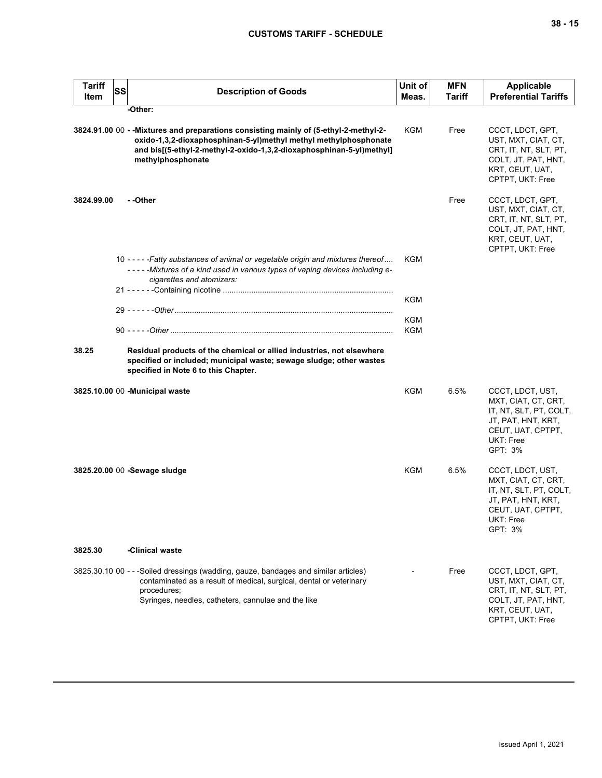| <b>Tariff</b><br>Item | SS | <b>Description of Goods</b>                                                                                                                                                                                                                            | Unit of<br>Meas.  | <b>MFN</b><br>Tariff | <b>Applicable</b><br><b>Preferential Tariffs</b>                                                                                     |  |
|-----------------------|----|--------------------------------------------------------------------------------------------------------------------------------------------------------------------------------------------------------------------------------------------------------|-------------------|----------------------|--------------------------------------------------------------------------------------------------------------------------------------|--|
| -Other:               |    |                                                                                                                                                                                                                                                        |                   |                      |                                                                                                                                      |  |
|                       |    | 3824.91.00 00 - - Mixtures and preparations consisting mainly of (5-ethyl-2-methyl-2-<br>oxido-1,3,2-dioxaphosphinan-5-yl)methyl methyl methylphosphonate<br>and bis[(5-ethyl-2-methyl-2-oxido-1,3,2-dioxaphosphinan-5-yl)methyl]<br>methylphosphonate | KGM               | Free                 | CCCT, LDCT, GPT,<br>UST, MXT, CIAT, CT,<br>CRT, IT, NT, SLT, PT,<br>COLT, JT, PAT, HNT,<br>KRT, CEUT, UAT,<br>CPTPT, UKT: Free       |  |
| 3824.99.00            |    | - -Other                                                                                                                                                                                                                                               |                   | Free                 | CCCT, LDCT, GPT,<br>UST, MXT, CIAT, CT,<br>CRT, IT, NT, SLT, PT,<br>COLT, JT, PAT, HNT,<br>KRT, CEUT, UAT,<br>CPTPT, UKT: Free       |  |
|                       |    | 10 - - - - - Fatty substances of animal or vegetable origin and mixtures thereof<br>-----Mixtures of a kind used in various types of vaping devices including e-<br>cigarettes and atomizers:                                                          | KGM               |                      |                                                                                                                                      |  |
|                       |    |                                                                                                                                                                                                                                                        | KGM               |                      |                                                                                                                                      |  |
|                       |    |                                                                                                                                                                                                                                                        |                   |                      |                                                                                                                                      |  |
|                       |    |                                                                                                                                                                                                                                                        | <b>KGM</b><br>KGM |                      |                                                                                                                                      |  |
| 38.25                 |    | Residual products of the chemical or allied industries, not elsewhere<br>specified or included; municipal waste; sewage sludge; other wastes<br>specified in Note 6 to this Chapter.                                                                   |                   |                      |                                                                                                                                      |  |
|                       |    | 3825.10.00 00 - Municipal waste                                                                                                                                                                                                                        | KGM               | 6.5%                 | CCCT, LDCT, UST,<br>MXT, CIAT, CT, CRT,<br>IT, NT, SLT, PT, COLT,<br>JT, PAT, HNT, KRT,<br>CEUT, UAT, CPTPT,<br>UKT: Free<br>GPT: 3% |  |
|                       |    | 3825.20.00 00 -Sewage sludge                                                                                                                                                                                                                           | KGM               | 6.5%                 | CCCT, LDCT, UST,<br>MXT, CIAT, CT, CRT,<br>IT, NT, SLT, PT, COLT,<br>JT, PAT, HNT, KRT,<br>CEUT, UAT, CPTPT,<br>UKI: Free<br>GPT: 3% |  |
| 3825.30               |    | -Clinical waste                                                                                                                                                                                                                                        |                   |                      |                                                                                                                                      |  |
|                       |    | 3825.30.10 00 - - -Soiled dressings (wadding, gauze, bandages and similar articles)<br>contaminated as a result of medical, surgical, dental or veterinary<br>procedures;<br>Syringes, needles, catheters, cannulae and the like                       |                   | Free                 | CCCT, LDCT, GPT,<br>UST, MXT, CIAT, CT,<br>CRT, IT, NT, SLT, PT,<br>COLT, JT, PAT, HNT,<br>KRT, CEUT, UAT,<br>CPTPT, UKT: Free       |  |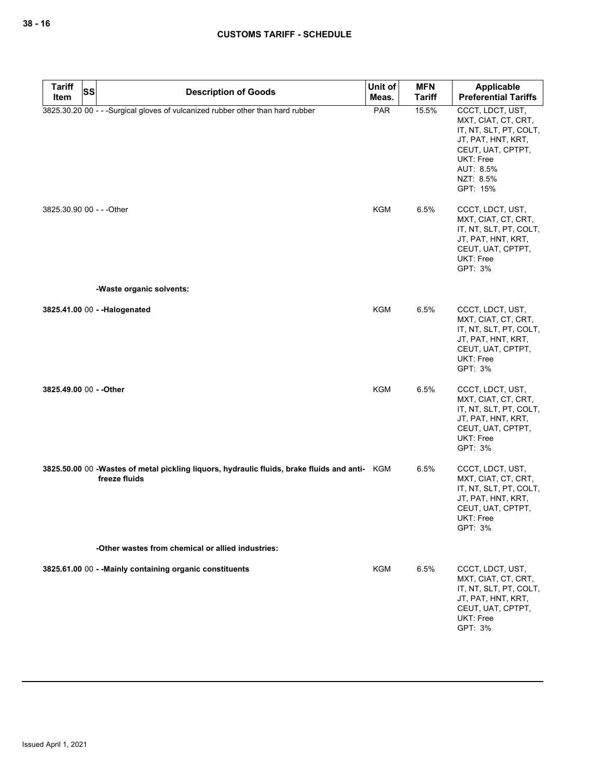| <b>Tariff</b>             | SS | <b>Description of Goods</b>                                                                                    | Unit of    | <b>MFN</b>    | <b>Applicable</b>                                                                                                                                               |
|---------------------------|----|----------------------------------------------------------------------------------------------------------------|------------|---------------|-----------------------------------------------------------------------------------------------------------------------------------------------------------------|
| Item                      |    |                                                                                                                | Meas.      | <b>Tariff</b> | <b>Preferential Tariffs</b>                                                                                                                                     |
|                           |    | 3825.30.20 00 - - - Surgical gloves of vulcanized rubber other than hard rubber                                | PAR        | 15.5%         | CCCT, LDCT, UST,<br>MXT, CIAT, CT, CRT,<br>IT, NT, SLT, PT, COLT,<br>JT, PAT, HNT, KRT,<br>CEUT, UAT, CPTPT,<br>UKT: Free<br>AUT: 8.5%<br>NZT: 8.5%<br>GPT: 15% |
| 3825.30.90 00 - - - Other |    |                                                                                                                | KGM        | 6.5%          | CCCT, LDCT, UST,<br>MXT, CIAT, CT, CRT,<br>IT, NT, SLT, PT, COLT,<br>JT, PAT, HNT, KRT,<br>CEUT, UAT, CPTPT,<br><b>UKT: Free</b><br>GPT: 3%                     |
|                           |    | -Waste organic solvents:                                                                                       |            |               |                                                                                                                                                                 |
|                           |    | 3825.41.00 00 - - Halogenated                                                                                  | <b>KGM</b> | 6.5%          | CCCT, LDCT, UST,<br>MXT, CIAT, CT, CRT,<br>IT, NT, SLT, PT, COLT,<br>JT, PAT, HNT, KRT,<br>CEUT, UAT, CPTPT,<br>UKT: Free<br>GPT: 3%                            |
| 3825.49.00 00 - - Other   |    |                                                                                                                | <b>KGM</b> | 6.5%          | CCCT, LDCT, UST,<br>MXT, CIAT, CT, CRT,<br>IT, NT, SLT, PT, COLT,<br>JT, PAT, HNT, KRT,<br>CEUT, UAT, CPTPT,<br>UKT: Free<br>GPT: 3%                            |
|                           |    | 3825.50.00 00 -Wastes of metal pickling liquors, hydraulic fluids, brake fluids and anti- KGM<br>freeze fluids |            | 6.5%          | CCCT, LDCT, UST,<br>MXT, CIAT, CT, CRT,<br>IT, NT, SLT, PT, COLT,<br>JT, PAT, HNT, KRT,<br>CEUT, UAT, CPTPT,<br>UKT: Free<br>GPT: 3%                            |
|                           |    | -Other wastes from chemical or allied industries:                                                              |            |               |                                                                                                                                                                 |
|                           |    | 3825.61.00 00 - - Mainly containing organic constituents                                                       | <b>KGM</b> | 6.5%          | CCCT, LDCT, UST,<br>MXT, CIAT, CT, CRT,<br>IT, NT, SLT, PT, COLT,<br>JT, PAT, HNT, KRT,<br>CEUT, UAT, CPTPT,<br>UKT: Free<br>GPT: 3%                            |